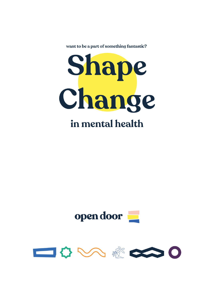want to be a part of something fantastic?





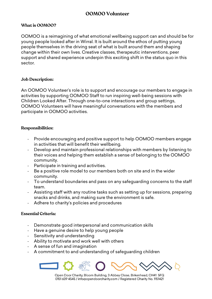# **OOMOO Volunteer**

## **What is OOMOO?**

OOMOO is a reimagining of what emotional wellbeing support can and should be for young people looked after in Wirral. It is built around the ethos of putting young people themselves in the driving seat of what is built around them and shaping change within their own lives. Creative classes, therapeutic interventions, peer support and shared experience underpin this exciting shift in the status quo in this sector.

#### **Job Description:**

An OOMOO Volunteer's role is to support and encourage our members to engage in activities by supporting OOMOO Staff to run inspiring well-being sessions with Children Looked After. Through one-to-one interactions and group settings, OOMOO Volunteers will have meaningful conversations with the members and participate in OOMOO activities.

#### **Responsibilities:**

- Provide encouraging and positive support to help OOMOO members engage in activities that will benefit their wellbeing.
- Develop and maintain professional relationships with members by listening to their voices and helping them establish a sense of belonging to the OOMOO community.
- Participate in training and activities.
- Be a positive role model to our members both on site and in the wider community.
- To understand boundaries and pass on any safeguarding concerns to the staff team.
- Assisting staff with any routine tasks such as setting up for sessions, preparing snacks and drinks, and making sure the environment is safe.
- Adhere to charity's policies and procedures

## **Essential Criteria:**

- Demonstrate good interpersonal and communication skills
- Have a genuine desire to help young people
- Sensitivity and understanding
- Ability to motivate and work well with others
- A sense of fun and imagination
- A commitment to and understanding of safequarding children



Open Door Charity, Bloom Building, 3 Abbey Close, Birkenhead, CH41 5FQ 0151 639 4545 / info@opendoorcharity.com / Registered Charity No. 1151421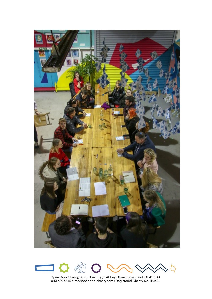



Open Door Charity, Bloom Building, 3 Abbey Close, Birkenhead, CH41 5FQ<br>0151 639 4545 / info@opendoorcharity.com / Registered Charity No. 1151421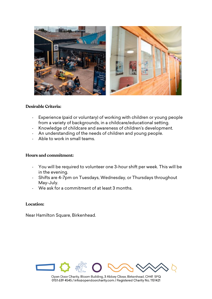

#### **Desirable Criteria:**

- Experience (paid or voluntary) of working with children or young people from a variety of backgrounds, in a childcare/educational setting.
- Knowledge of childcare and awareness of children's development.
- An understanding of the needs of children and young people.
- Able to work in small teams.

## **Hours and commitment:**

- You will be required to volunteer one 3-hour shift per week. This will be in the evening.
- Shifts are 4-7pm on Tuesdays, Wednesday, or Thursdays throughout May-July.
- We ask for a commitment of at least 3 months.

## **Location:**

Near Hamilton Square, Birkenhead.



Open Door Charity, Bloom Building, 3 Abbey Close, Birkenhead, CH41 5FQ 0151 639 4545 / info@opendoorcharity.com / Registered Charity No. 1151421